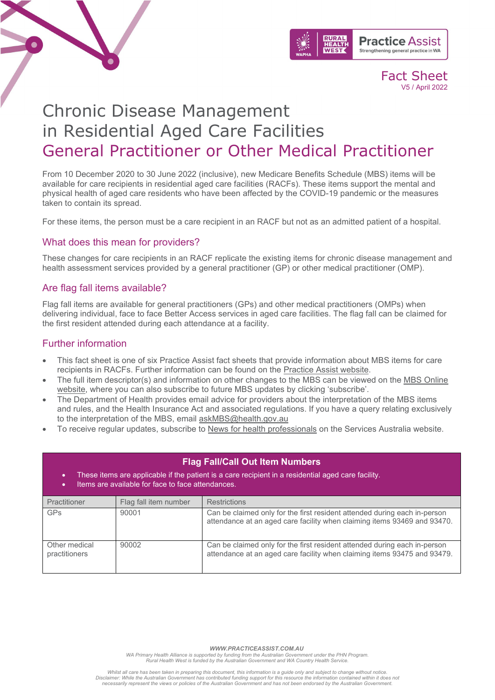



Fact Sheet V5 / April 2022

# Chronic Disease Management in Residential Aged Care Facilities General Practitioner or Other Medical Practitioner

From 10 December 2020 to 30 June 2022 (inclusive), new Medicare Benefits Schedule (MBS) items will be available for care recipients in residential aged care facilities (RACFs). These items support the mental and physical health of aged care residents who have been affected by the COVID-19 pandemic or the measures taken to contain its spread.

For these items, the person must be a care recipient in an RACF but not as an admitted patient of a hospital.

## What does this mean for providers?

These changes for care recipients in an RACF replicate the existing items for chronic disease management and health assessment services provided by a general practitioner (GP) or other medical practitioner (OMP).

## Are flag fall items available?

Flag fall items are available for general practitioners (GPs) and other medical practitioners (OMPs) when delivering individual, face to face Better Access services in aged care facilities. The flag fall can be claimed for the first resident attended during each attendance at a facility.

# Further information

- This fact sheet is one of six Practice Assist fact sheets that provide information about MBS items for care recipients in RACFs. Further information can be found on the [Practice Assist website.](https://www.practiceassist.com.au/)
- The full item descriptor(s) and information on other changes to the MBS can be viewed on the MBS [Online](http://www.mbsonline.gov.au/)  [website,](http://www.mbsonline.gov.au/) where you can also subscribe to future MBS updates by clicking 'subscribe'.
- The Department of Health provides email advice for providers about the interpretation of the MBS items and rules, and the Health Insurance Act and associated regulations. If you have a query relating exclusively to the interpretation of the MBS, email [askMBS@health.gov.au](mailto:askMBS@health.gov.au)
- To receive regular updates, subscribe to [News for health professionals](https://www.humanservices.gov.au/organisations/health-professionals/news/all) on the Services Australia website.

| <b>Flag Fall/Call Out Item Numbers</b><br>These items are applicable if the patient is a care recipient in a residential aged care facility.<br>٠<br>Items are available for face to face attendances.<br>٠ |                       |                                                                                                                                                       |
|-------------------------------------------------------------------------------------------------------------------------------------------------------------------------------------------------------------|-----------------------|-------------------------------------------------------------------------------------------------------------------------------------------------------|
| Practitioner                                                                                                                                                                                                | Flag fall item number | <b>Restrictions</b>                                                                                                                                   |
| <b>GPs</b>                                                                                                                                                                                                  | 90001                 | Can be claimed only for the first resident attended during each in-person<br>attendance at an aged care facility when claiming items 93469 and 93470. |
| Other medical<br>practitioners                                                                                                                                                                              | 90002                 | Can be claimed only for the first resident attended during each in-person<br>attendance at an aged care facility when claiming items 93475 and 93479. |

 *WWW.PRACTICEASSIST.COM.AU*

WA Primary Health Alliance is supported by funding from the Australian Government under the PHN Program.<br>Rural Health West is funded by the Australian Government and WA Country Health Service.